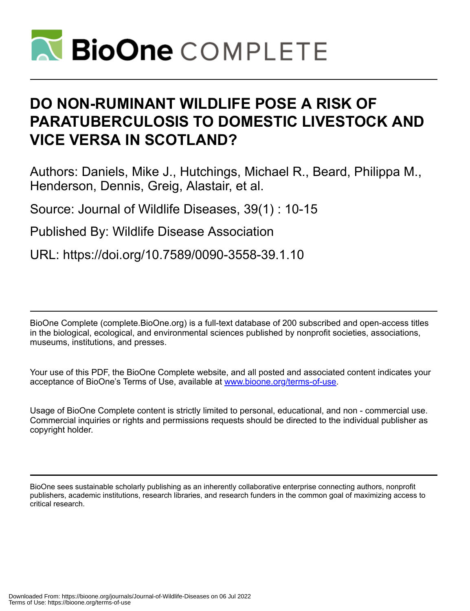

# **DO NON-RUMINANT WILDLIFE POSE A RISK OF PARATUBERCULOSIS TO DOMESTIC LIVESTOCK AND VICE VERSA IN SCOTLAND?**

Authors: Daniels, Mike J., Hutchings, Michael R., Beard, Philippa M., Henderson, Dennis, Greig, Alastair, et al.

Source: Journal of Wildlife Diseases, 39(1) : 10-15

Published By: Wildlife Disease Association

URL: https://doi.org/10.7589/0090-3558-39.1.10

BioOne Complete (complete.BioOne.org) is a full-text database of 200 subscribed and open-access titles in the biological, ecological, and environmental sciences published by nonprofit societies, associations, museums, institutions, and presses.

Your use of this PDF, the BioOne Complete website, and all posted and associated content indicates your acceptance of BioOne's Terms of Use, available at www.bioone.org/terms-of-use.

Usage of BioOne Complete content is strictly limited to personal, educational, and non - commercial use. Commercial inquiries or rights and permissions requests should be directed to the individual publisher as copyright holder.

BioOne sees sustainable scholarly publishing as an inherently collaborative enterprise connecting authors, nonprofit publishers, academic institutions, research libraries, and research funders in the common goal of maximizing access to critical research.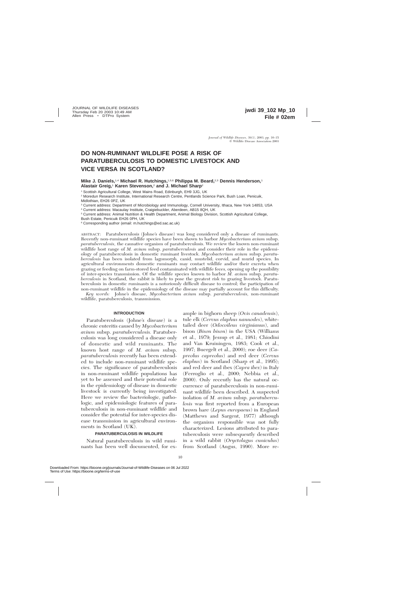# **DO NON-RUMINANT WILDLIFE POSE A RISK OF PARATUBERCULOSIS TO DOMESTIC LIVESTOCK AND VICE VERSA IN SCOTLAND?**

### **Mike J. Daniels,**1,4 **Michael R. Hutchings,**1,5,6 **Philippa M. Beard,**2,3 **Dennis Henderson,**<sup>1</sup> **Alastair Greig,**<sup>1</sup> **Karen Stevenson,**<sup>2</sup> **and J. Michael Sharp**<sup>2</sup>

<sup>1</sup> Scottish Agricultural College, West Mains Road, Edinburgh, EH9 3JG, UK

<sup>2</sup> Moredun Research Institute, International Research Centre, Pentlands Science Park, Bush Loan, Penicuik, Midlothian, EH26 0PZ, UK

<sup>3</sup> Current address: Department of Microbiology and Immunology, Cornell University, Ithaca, New York 14853, USA

<sup>4</sup> Current address: Macaulay Institute, Craigiebuckler, Aberdeen, AB15 8QH, UK

<sup>5</sup> Current address: Animal Nutrition & Health Department, Animal Biology Division, Scottish Agricultural College,

Bush Estate, Penicuik EH26 0PH, UK

<sup>6</sup> Corresponding author (email: m.hutchings@ed.sac.ac.uk)

ABSTRACT: Paratuberculosis (Johne's disease) was long considered only a disease of ruminants. Recently non-ruminant wildlife species have been shown to harbor *Mycobacterium avium* subsp. *paratuberculosis,* the causative organism of paratuberculosis. We review the known non-ruminant wildlife host range of *M. avium* subsp. *paratuberculosis* and consider their role in the epidemiology of paratuberculosis in domestic ruminant livestock. *Mycobacterium avium* subsp. *paratuberculosis* has been isolated from lagomorph, canid, mustelid, corvid, and murid species. In agricultural environments domestic ruminants may contact wildlife and/or their excreta when grazing or feeding on farm-stored feed contaminated with wildlife feces, opening up the possibility of inter-species transmission. Of the wildlife species known to harbor *M. avium* subsp. *paratuberculosis* in Scotland, the rabbit is likely to pose the greatest risk to grazing livestock. Paratuberculosis in domestic ruminants is a notoriously difficult disease to control; the participation of non-ruminant wildlife in the epidemiology of the disease may partially account for this difficulty.

*Key words:* Johne's disease, *Mycobacterium avium* subsp. *paratuberculosis,* non-ruminant wildlife, paratuberculosis, transmission.

#### **INTRODUCTION**

Paratuberculosis (Johne's disease) is a chronic enteritis caused by *Mycobacterium avium* subsp. *paratuberculosis.* Paratuberculosis was long considered a disease only of domestic and wild ruminants. The known host range of *M. avium* subsp. *paratuberculosis* recently has been extended to include non-ruminant wildlife species. The significance of paratuberculosis in non-ruminant wildlife populations has yet to be assessed and their potential role in the epidemiology of disease in domestic livestock is currently being investigated. Here we review the bacteriologic, pathologic, and epidemiologic features of paratuberculosis in non-ruminant wildlife and consider the potential for inter-species disease transmission in agricultural environments in Scotland (UK).

#### **PARATUBERCULOSIS IN WILDLIFE**

Natural paratuberculosis in wild ruminants has been well documented, for ex-

ample in bighorn sheep (*Ovis canadensis*), tule elk (*Cervus elaphus nannodes*), whitetailed deer (*Odocoileus virginianus*), and bison (*Bison bison*) in the USA (Williams et al., 1979; Jessup et al., 1981; Chiodini and Van Kruiningen, 1983; Cook et al., 1997; Buergelt et al., 2000); roe deer (*Capreolus capreolus*) and red deer (*Cervus elaphus*) in Scotland (Sharp et al., 1995); and red deer and ibex (*Capra ibex*) in Italy (Ferroglio et al., 2000; Nebbia et al., 2000). Only recently has the natural occurrence of paratuberculosis in non-ruminant wildlife been described. A suspected isolation of *M. avium* subsp. *paratuberculosis* was first reported from a European brown hare (*Lepus europaeus*) in England (Matthews and Sargent, 1977) although the organism responsible was not fully characterized. Lesions attributed to paratuberculosis were subsequently described in a wild rabbit (*Oryctolagus cuniculus*) from Scotland (Angus, 1990). More re-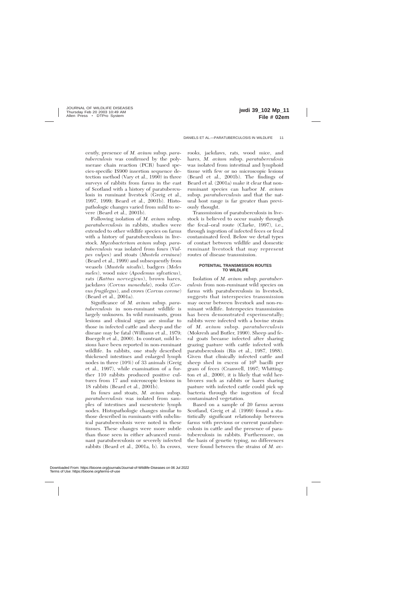cently, presence of *M. avium* subsp. *paratuberculosis* was confirmed by the polymerase chain reaction (PCR) based species-specific IS900 insertion sequence detection method (Vary et al., 1990) in three surveys of rabbits from farms in the east of Scotland with a history of paratuberculosis in ruminant livestock (Greig et al., 1997, 1999; Beard et al., 2001b). Histopathologic changes varied from mild to severe (Beard et al., 2001b).

Following isolation of *M. avium* subsp. *paratuberculosis* in rabbits, studies were extended to other wildlife species on farms with a history of paratuberculosis in livestock. *Mycobacterium avium* subsp*. paratuberculosis* was isolated from foxes (*Vulpes vulpes*) and stoats (*Mustela erminea*) (Beard et al., 1999) and subsequently from weasels (*Mustela nivalis*), badgers *(Meles meles*), wood mice (*Apodemus sylvaticus*), rats (*Rattus norvegicus*), brown hares, jackdaws (*Corvus monedula*), rooks (*Corvus frugilegus*), and crows (*Corvus corone*) (Beard et al., 2001a).

Significance of *M. avium* subsp. *paratuberculosis* in non-ruminant wildlife is largely unknown. In wild ruminants, gross lesions and clinical signs are similar to those in infected cattle and sheep and the disease may be fatal (Williams et al., 1979; Buergelt et al., 2000). In contrast, mild lesions have been reported in non-ruminant wildlife. In rabbits, one study described thickened intestines and enlarged lymph nodes in three (10%) of 33 animals (Greig et al., 1997), while examination of a further 110 rabbits produced positive cultures from 17 and microscopic lesions in 18 rabbits (Beard et al., 2001b).

In foxes and stoats, *M. avium* subsp. *paratuberculosis* was isolated from samples of intestines and mesenteric lymph nodes. Histopathologic changes similar to those described in ruminants with subclinical paratuberculosis were noted in these tissues. These changes were more subtle than those seen in either advanced ruminant paratuberculosis or severely infected rabbits (Beard et al., 2001a, b). In crows,

rooks, jackdaws, rats, wood mice, and hares, *M. avium* subsp. *paratuberculosis* was isolated from intestinal and lymphoid tissue with few or no microscopic lesions (Beard et al., 2001b). The findings of Beard et al. (2001a) make it clear that nonruminant species can harbor *M. avium* subsp. *paratuberculosis* and that the natural host range is far greater than previously thought.

Transmission of paratuberculosis in livestock is believed to occur mainly through the fecal–oral route (Clarke, 1997), i.e., through ingestion of infected feces or fecal contaminated feed. Below we detail types of contact between wildlife and domestic ruminant livestock that may represent routes of disease transmission.

#### **POTENTIAL TRANSMISSION ROUTES TO WILDLIFE**

Isolation of *M. avium* subsp. *paratuberculosis* from non-ruminant wild species on farms with paratuberculosis in livestock, suggests that interspecies transmission may occur between livestock and non-ruminant wildlife. Interspecies transmission has been demonstrated experimentally; rabbits were infected with a bovine strain of *M. avium* subsp. *paratuberculosis* (Mokresh and Butler, 1990). Sheep and feral goats became infected after sharing grazing pasture with cattle infected with paratuberculosis (Ris et al., 1987, 1988). Given that clinically infected cattle and sheep shed in excess of 108 bacilli per gram of feces (Cranwell, 1997; Whittington et al., 2000), it is likely that wild herbivores such as rabbits or hares sharing pasture with infected cattle could pick up bacteria through the ingestion of fecal contaminated vegetation.

Based on a sample of 20 farms across Scotland, Greig et al. (1999) found a statistically significant relationship between farms with previous or current paratuberculosis in cattle and the presence of paratuberculosis in rabbits. Furthermore, on the basis of genetic typing, no differences were found between the strains of *M. av-*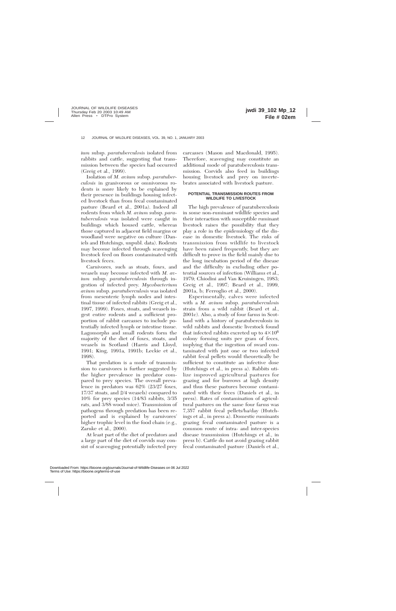*ium* subsp. *paratuberculosis* isolated from rabbits and cattle, suggesting that transmission between the species had occurred (Greig et al., 1999).

Isolation of *M. avium* subsp. *paratuberculosis* in granivorous or omnivorous rodents is more likely to be explained by their presence in buildings housing infected livestock than from fecal contaminated pasture (Beard et al., 2001a). Indeed all rodents from which *M. avium* subsp. *paratuberculosis* was isolated were caught in buildings which housed cattle, whereas those captured in adjacent field margins or woodland were negative on culture (Daniels and Hutchings, unpubl. data). Rodents may become infected through scavenging livestock feed on floors contaminated with livestock feces.

Carnivores, such as stoats, foxes, and weasels may become infected with *M. avium* subsp. *paratuberculosis* through ingestion of infected prey. *Mycobacterium avium* subsp. *paratuberculosis* was isolated from mesenteric lymph nodes and intestinal tissue of infected rabbits (Greig et al., 1997, 1999). Foxes, stoats, and weasels ingest entire rodents and a sufficient proportion of rabbit carcasses to include potentially infected lymph or intestine tissue. Lagomorphs and small rodents form the majority of the diet of foxes, stoats, and weasels in Scotland (Harris and Lloyd, 1991; King, 1991a, 1991b; Leckie et al., 1998).

That predation is a mode of transmission to carnivores is further suggested by the higher prevalence in predator compared to prey species. The overall prevalence in predators was 62% (23/27 foxes, 17/37 stoats, and 2/4 weasels) compared to 10% for prey species (14/83 rabbits, 3/35 rats, and 3/88 wood mice). Transmission of pathogens through predation has been reported and is explained by carnivores' higher trophic level in the food chain (e.g., Zarnke et al., 2000).

At least part of the diet of predators and a large part of the diet of corvids may consist of scavenging potentially infected prey carcasses (Mason and Macdonald, 1995). Therefore, scavenging may constitute an additional mode of paratuberculosis transmission. Corvids also feed in buildings housing livestock and prey on invertebrates associated with livestock pasture.

## **POTENTIAL TRANSMISSION ROUTES FROM WILDLIFE TO LIVESTOCK**

The high prevalence of paratuberculosis in some non-ruminant wildlife species and their interaction with susceptible ruminant livestock raises the possibility that they play a role in the epidemiology of the disease in domestic livestock. The risks of transmission from wildlife to livestock have been raised frequently, but they are difficult to prove in the field mainly due to the long incubation period of the disease and the difficulty in excluding other potential sources of infection (Williams et al., 1979; Chiodini and Van Kruiningen, 1983; Greig et al., 1997; Beard et al., 1999, 2001a, b; Ferroglio et al., 2000).

Experimentally, calves were infected with a *M. avium* subsp. *paratuberculosis* strain from a wild rabbit (Beard et al., 2001c). Also, a study of four farms in Scotland with a history of paratuberculosis in wild rabbits and domestic livestock found that infected rabbits excreted up to  $4\times10^6$ colony forming units per gram of feces, implying that the ingestion of sward contaminated with just one or two infected rabbit fecal pellets would theoretically be sufficient to constitute an infective dose (Hutchings et al., in press a). Rabbits utilize improved agricultural pastures for grazing and for burrows at high density and thus these pastures become contaminated with their feces (Daniels et al., in press). Rates of contamination of agricultural pastures on the same four farms was 7,357 rabbit fecal pellets/ha/day (Hutchings et al., in press a). Domestic ruminants grazing fecal contaminated pasture is a common route of intra- and inter-species disease transmission (Hutchings et al., in press b). Cattle do not avoid grazing rabbit fecal contaminated pasture (Daniels et al.,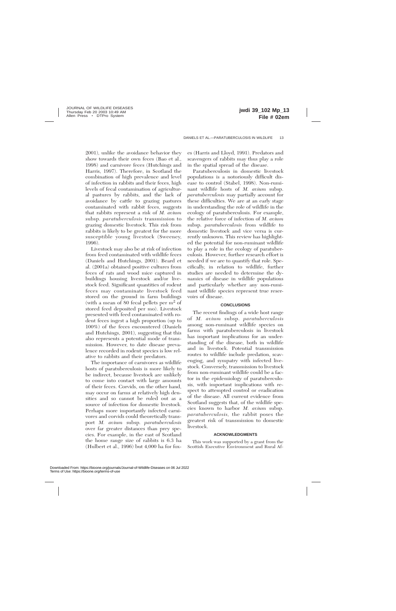2001), unlike the avoidance behavior they show towards their own feces (Bao et al., 1998) and carnivore feces (Hutchings and Harris, 1997). Therefore, in Scotland the combination of high prevalence and level of infection in rabbits and their feces, high levels of fecal contamination of agricultural pastures by rabbits, and the lack of avoidance by cattle to grazing pastures contaminated with rabbit feces, suggests that rabbits represent a risk of *M. avium* subsp. *paratuberculosis* transmission to grazing domestic livestock. This risk from rabbits is likely to be greatest for the more susceptible young livestock (Sweeney, 1996).

Livestock may also be at risk of infection from feed contaminated with wildlife feces (Daniels and Hutchings, 2001). Beard et al. (2001a) obtained positive cultures from feces of rats and wood mice captured in buildings housing livestock and/or livestock feed. Significant quantities of rodent feces may contaminate livestock feed stored on the ground in farm buildings (with a mean of 80 fecal pellets per  $m<sup>2</sup>$  of stored feed deposited per mo). Livestock presented with feed contaminated with rodent feces ingest a high proportion (up to 100%) of the feces encountered (Daniels and Hutchings, 2001), suggesting that this also represents a potential mode of transmission. However, to date disease prevalence recorded in rodent species is low relative to rabbits and their predators.

The importance of carnivores as wildlife hosts of paratuberculosis is more likely to be indirect, because livestock are unlikely to come into contact with large amounts of their feces. Corvids, on the other hand, may occur on farms at relatively high densities and so cannot be ruled out as a source of infection for domestic livestock. Perhaps more importantly infected carnivores and corvids could theoretically transport *M. avium* subsp. *paratuberculosis* over far greater distances than prey species. For example, in the east of Scotland the home range size of rabbits is 6.3 ha (Hulbert et al., 1996) but 4,000 ha for foxes (Harris and Lloyd, 1991). Predators and scavengers of rabbits may thus play a role in the spatial spread of the disease.

Paratuberculosis in domestic livestock populations is a notoriously difficult disease to control (Stabel, 1998). Non-ruminant wildlife hosts of *M. avium* subsp. *paratuberculosis* may partially account for these difficulties. We are at an early stage in understanding the role of wildlife in the ecology of paratuberculosis. For example, the relative force of infection of *M. avium* subsp. *paratuberculosis* from wildlife to domestic livestock and vice versa is currently unknown. This review has highlighted the potential for non-ruminant wildlife to play a role in the ecology of paratuberculosis. However, further research effort is needed if we are to quantify that role. Specifically, in relation to wildlife, further studies are needed to determine the dynamics of disease in wildlife populations and particularly whether any non-ruminant wildlife species represent true reservoirs of disease.

#### **CONCLUSIONS**

The recent findings of a wide host range of *M. avium* subsp. *paratuberculosis* among non-ruminant wildlife species on farms with paratuberculosis in livestock has important implications for an understanding of the disease, both in wildlife and in livestock. Potential transmission routes to wildlife include predation, scavenging, and sympatry with infected livestock. Conversely, transmission to livestock from non-ruminant wildlife could be a factor in the epidemiology of paratuberculosis, with important implications with respect to attempted control or eradication of the disease. All current evidence from Scotland suggests that, of the wildlife species known to harbor *M. avium* subsp. *paratuberculosis,* the rabbit poses the greatest risk of transmission to domestic livestock.

#### **ACKNOWLEDGMENTS**

This work was supported by a grant from the Scottish Executive Environment and Rural Af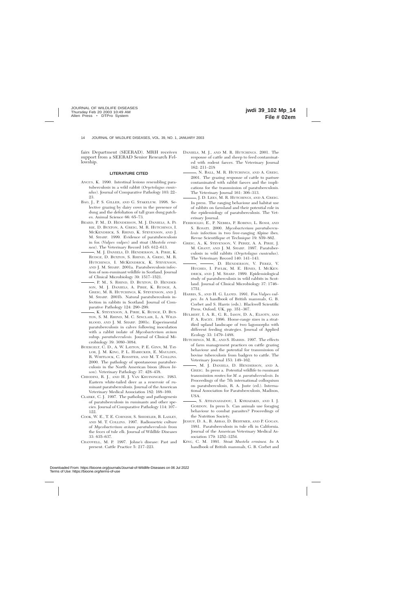fairs Department (SEERAD). MRH receives support from a SEERAD Senior Research Fellowship.

#### **LITERATURE CITED**

- ANGUS, K. 1990. Intestinal lesions resembling paratuberculosis in a wild rabbit (*Oryctolagus cuniculus*). Journal of Comparative Pathology 103: 22– 23.
- BAO, J., P. S. GILLER, AND G. STAKELUM. 1998. Selective grazing by dairy cows in the presence of dung and the defoliation of tall grass dung patches. Animal Science 66: 65–73.
- BEARD, P. M., D. HENDERSON, M. J. DANIELS, A. PI-RIE, D. BUXTON, A. GREIG, M. R. HUTCHINGS, I. MCKENDRICK, S. RHIND, K. STEVENSON, AND J. M. SHARP. 1999. Evidence of paratuberculosis in fox (*Vulpes vulpes*) and stoat (*Mustela erminea*). The Veterinary Record 145: 612–613.
- , M. J. DANIELS, D. HENDERSON, A. PIRIE, K. RUDGE, D. BUXTON, S. RHIND, A. GREIG, M. R. HUTCHINGS, I. MCKENDRICK, K. STEVENSON, AND J. M. SHARP. 2001a. Paratuberculosis infection of non-ruminant wildlife in Scotland. Journal of Clinical Microbiology 39: 1517–1521.
- , P. M., S. RHIND, D. BUXTON, D. HENDER-SON, M. J. DANIELS, A. PIRIE, K. RUDGE, A. GREIG, M. R. HUTCHINGS, K. STEVENSON, AND J. M. SHARP. 2001b. Natural paratuberculosis infection in rabbits in Scotland. Journal of Comparative Pathology 124: 290–299.
- , K. STEVENSON, A. PIRIE, K. RUDGE, D. BUX-TON, S. M. RHIND, M. C. SINCLAIR, L. A. WILD-BLOOD, AND J. M. SHARP. 2001c. Experimental paratuberculosis in calves following inoculation with a rabbit isolate of *Mycobacterium avium* subsp. *paratuberculosis.* Journal of Clinical Microbiology 39: 3080–3084.
- BUERGELT, C. D., A. W. LAYTON, P. E. GINN, M. TAY-LOR, J. M. KING, P. L. HABECKER, E. MAULDIN, R. WHITLOCK, C. ROSSITER, AND M. T. COLLINS. 2000. The pathology of spontaneous paratuberculosis in the North American bison (*Bison bison*). Veterinary Pathology 37: 428–438.
- CHIODINI, R. J., AND H. J. VAN KRUININGEN. 1983. Eastern white-tailed deer as a reservoir of ruminant paratuberculosis. Journal of the American Veterinary Medical Association 182: 168–169.
- CLARKE, C. J. 1997. The pathology and pathogenesis of paratuberculosis in ruminants and other species. Journal of Comparative Pathology 114: 107– 122.
- COOK, W. E., T. E. CORNISH, S. SHIDELER, B. LASLEY, AND M. T. COLLINS. 1997. Radiometric culture of *Mycobacterium avium paratuberculosis* from the feces of tule elk. Journal of Wildlife Diseases 33: 635–637.
- CRANWELL, M. P. 1997. Johne's disease: Past and present. Cattle Practice 5: 217–223.
- DANIELS, M. J., AND M. R. HUTCHINGS. 2001. The response of cattle and sheep to feed contaminated with rodent faeces. The Veterinary Journal 162: 211–218
- , N. BALL, M. R. HUTCHINGS, AND A. GREIG. 2001. The grazing response of cattle to pasture contaminated with rabbit faeces and the implications for the transmission of paratuberculosis. The Veterinary Journal 161: 306–313.
- , J. D. LEES, M. R. HUTCHINGS, AND A. GREIG. In press. The ranging behaviour and habitat use of rabbits on farmland and their potential role in the epidemiology of paratuberculosis. The Veterinary Journal.
- FERROGLIO, E., P. NEBBIA, P. ROBINO, L. ROSSI, AND S. ROSATI. 2000. *Mycobacterium paratuberculosis* infection in two free-ranging Alpine ibex. Revue Scientifique et Technique 19: 859–862.
- GREIG, A., K. STEVENSON, V. PEREZ, A. A. PIRIE, J. M. GRANT, AND J. M. SHARP. 1997. Paratuberculosis in wild rabbits (*Oryctolagus cuniculus*). The Veterinary Record 140: 141–143.
- $\rightarrow$ ,  $\rightarrow$  D. HENDERSON, V. PEREZ, V. HUGHES, I. PAVLIK, M. E. HINES, I. MCKEN-DRICK, AND J. M. SHARP. 1999. Epidemiological study of paratuberculosis in wild rabbits in Scotland. Journal of Clinical Microbiology 37: 1746– 1751.
- HARRIS, S., AND H. G. LLOYD. 1991. Fox *Vulpes vulpes. In* A handbook of British mammals, G. B. Corbet and S. Harris (eds.). Blackwell Scientific Press, Oxford, UK, pp. 351–367.
- HULBERT, I. A. R., G. R., IASON, D. A., ELSOTN, AND P. A. RACEY. 1996. Home-range sizes in a stratified upland landscape of two lagomorphs with different feeding strategies. Journal of Applied Ecology 33: 1479–1488.
- HUTCHINGS, M. R., AND S. HARRIS. 1997. The effects of farm management practices on cattle grazing behaviour and the potential for transmission of bovine tuberculosis from badgers to cattle. The Veterinary Journal 153: 149–162.
- , M. J. DANIELS, D. HENDERSON, AND A. GREIG. In press a. Potential wildlife to ruminant transmission routes for *M. a. paratuberculosis. In* Proceedings of the 7th international colloquium on paratuberculosis, R. A. Juste (ed.). International Association for Paratuberculosis, Madison, USA.
- , S. ATHANASIADOU, I. KYRIAZAKIS, AND I. J. GORDON. In press b. Can animals use foraging behaviour to combat parasites? Proceedings of the Nutrition Society.
- JESSUP, D. A., B. ABBAS, D. BEHYMER, AND P. GOGAN. 1981. Paratuberculosis in tule elk in California. Journal of the American Veterinary Medical Association 179: 1252–1254.
- KING, C. M. 1991. Stoat *Mustela erminea. In* A handbook of British mammals, G. B. Corbet and